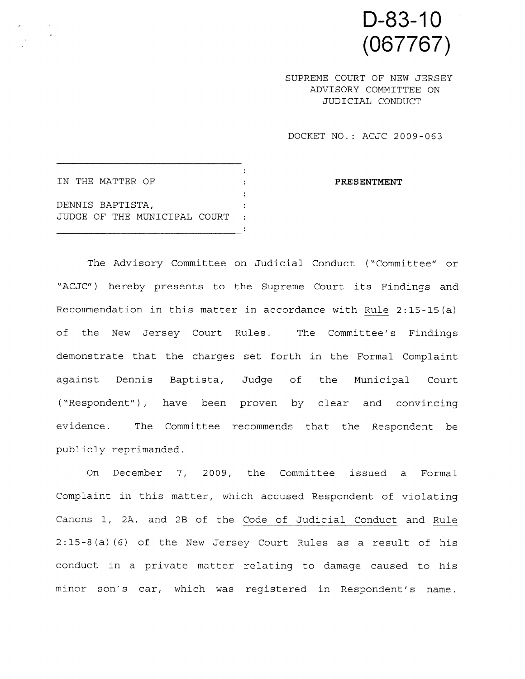D-83-1 0 (067767)

SUPREME COURT OF NEW JERSEY ADVISORY COMMITTEE ON JUDICIAL CONDUCT

DOCKET NO.: ACJC 2009-063

 $\mathbb{R}^2$ IN THE MATTER OF  $\qquad \qquad :$  PRESENTMENT DENNIS BAPTISTA, JUDGE OF THE MUNICIPAL COURT

The Advisory Committee on Judicial Conduct ("Committee" or "ACJC") hereby presents to the Supreme Court its Findings and Recommendation in this matter in accordance with Rule 2:15-15(a) of the New Jersey Court Rules. The Committee's Findings demonstrate that the charges set forth in the Formal Complaint against Dennis Baptista, Judge of the Municipal Court ("Respondent") , have been proven by clear and convincing evidence. The Committee recommends that the Respondent be publicly reprimanded.

On December 7, 2009, the Committee issued <sup>a</sup> Formal Complaint in this matter, which accused Respondent of violating Canons 1, 2A, and 2B of the Code of Judicial Conduct and Rule 2:15-8 (a) (6) of the New Jersey Court Rules as <sup>a</sup> result of his conduct in <sup>a</sup> private matter relating to damage caused to his minor son's car, which was registered in Respondent's name.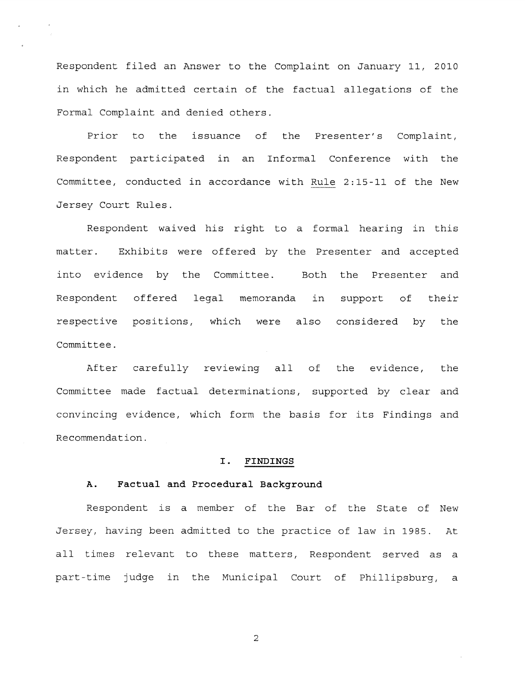Respondent filed an Answer to the Complaint on January 11, 2010 in which he admitted certain of the factual allegations of the Formal Complaint and denied others.

Prior to the issuance of the Presenter's Complaint, Respondent participated in an Informal Conference with the Committee, conducted in accordance with Rule 2:15-11 of the New Jersey Court Rules.

Respondent waived his right to <sup>a</sup> formal hearing in this matter. Exhibits were offered by the Presenter and accepted into evidence by the Committee. Both the Presenter and Respondent offered legal memoranda in suppor<sup>t</sup> of their respective positions, which were also considered by the Committee.

After carefully reviewing all of the evidence, the Committee made factual determinations, supported by clear and convincing evidence, which form the basis for its Findings and Recommendation.

#### I. FINDINGS

### A. Factual and Procedural Background

Respondent is <sup>a</sup> member of the Bar of the State of New Jersey, having been admitted to the practice of law in 1985. At all times relevant to these matters, Respondent served as <sup>a</sup> part-time judge in the Municipal Court of Phillipsburg, <sup>a</sup>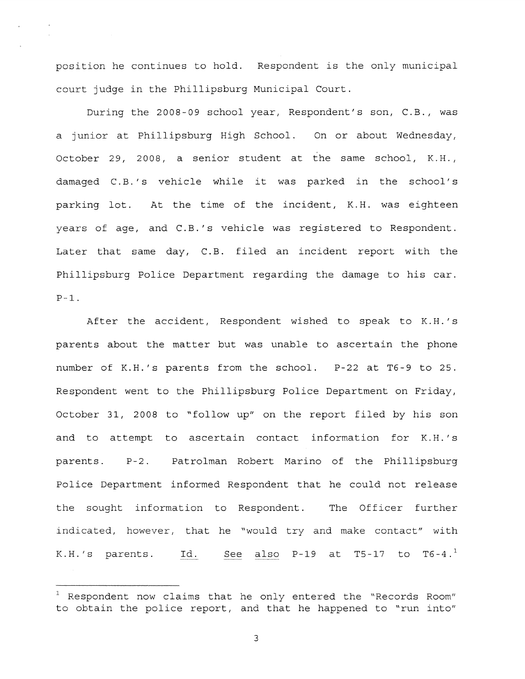position he continues to hold. Respondent is the only municipal court judge in the Phillipsburg Municipal Court.

During the 2008-09 school year, Respondent's son, C.B., was <sup>a</sup> junior at Phillipsburg High School. On or about Wednesday, October 29, 2008, <sup>a</sup> senior student at the same school, K.H., damaged C.B.'s vehicle while it was parked in the school's parking lot. At the time of the incident, K.H. was eighteen years of age, and C.B.'s vehicle was registered to Respondent. Later that same day, C.B. filed an incident repor<sup>t</sup> with the Phillipsburg Police Department regarding the damage to his car.  $P-1$ .

After the accident, Respondent wished to speak to K.H.'s parents about the matter but was unable to ascertain the phone number of K.H.'s parents from the school. P-22 at T6-9 to 25. Respondent went to the Phillipsburg Police Department on Friday, October 31, 2008 to "follow up" on the repor<sup>t</sup> filed by his son and to attempt to ascertain contact information for K.H.'s parents. P-2. Patrolman Robert Marino of the Phillipsburg Police Department informed Respondent that he could not release the sought information to Respondent. The Officer further indicated, however, that he "would try and make contact" with K.H.'s parents. Id. See also P-19 at T5-17 to T6-4. $^1$ 

<sup>&#</sup>x27;Respondent now claims that he only entered the "Records Room" to obtain the police report, and that he happened to "run into"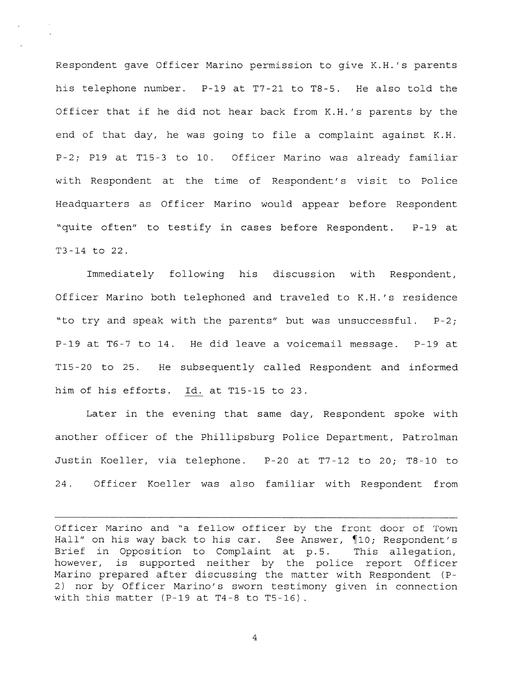Respondent gave Officer Marino permission to give K.H.'s parents his telephone number. P-19 at T7-2l to T8-5. He also told the Officer that if he did not hear back from K.H.'s parents by the end of that day, he was going to file <sup>a</sup> complaint against K.H. P-2; P19 at T15-3 to 10. Officer Marino was already familiar with Respondent at the time of Respondent's visit to Police Headquarters as Officer Marino would appear before Respondent "quite often" to testify in cases before Respondent. P-l9 at T3-l4 to 22.

Immediately following his discussion with Respondent, Officer Marino both telephoned and traveled to K.H.'s residence "to try and speak with the parents" but was unsuccessful. P-2; P-19 at T6-7 to 14. He did leave <sup>a</sup> voicemail message. P-19 at Tl5-20 to 25. He subsequently called Respondent and informed him of his efforts. Id. at Tl5-15 to 23.

Later in the evening that same day, Respondent spoke with another officer of the Phillipsburg Police Department, Patrolman Justin Koeller, via telephone. P-20 at T7-12 to 20; T8-l0 to 24. Officer Koeller was also familiar with Respondent from

Officer Marino and "a fellow officer by the front door of Town Hall" on his way back to his car. See Answer, ¶10; Respondent's Brief in Opposition to Complaint at p.5. This allegation, however, is supported neither by the police repor<sup>t</sup> Officer Marino prepared after discussing the matter with Respondent (P 2) nor by Officer Marino's sworn testimony given in connection with this matter  $(P-19$  at T4-8 to T5-16).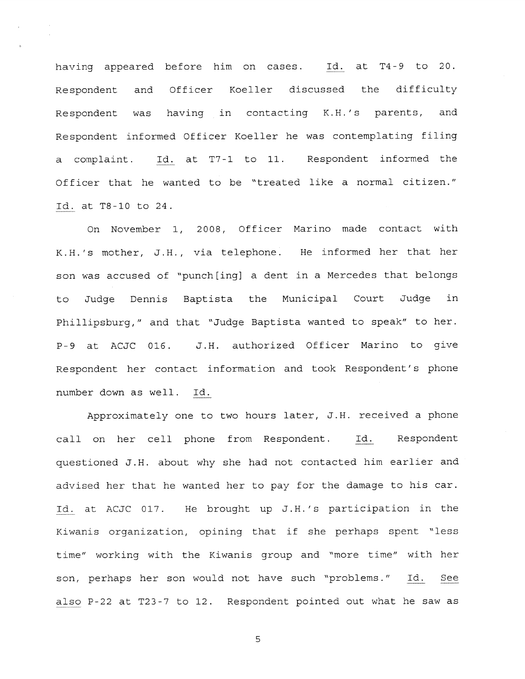having appeared before him on cases. Id. at T4-9 to 20. Respondent and Officer Koeller discussed the difficulty Respondent was having in contacting K.H.'s parents, and Respondent informed Officer Koeller he was contemplating filing <sup>a</sup> complaint. Id. at T7-l to 11. Respondent informed the Officer that he wanted to be "treated like <sup>a</sup> normal citizen." Id. at T8-lO to 24.

On November 1, 2008, Officer Marino made contact with K.H.'s mother, J.H., via telephone. He informed her that her son was accused of "punch[ingi <sup>a</sup> dent in <sup>a</sup> Mercedes that belongs to Judge Dennis Baptista the Municipal Court Judge in Phillipsburg," and that "Judge Baptista wanted to speak" to her. P-9 at ACJC 016. J.H. authorized Officer Marino to give Respondent her contact information and took Respondent's <sup>p</sup>hone number down as well. Id.

Approximately one to two hours later, J.H. received <sup>a</sup> <sup>p</sup>hone call on her cell <sup>p</sup>hone from Respondent. Id. Respondent questioned J.H. about why she had not contacted him earlier and advised her that he wanted her to pay for the damage to his car. Id. at ACJC 017. He brought up J.H.'s participation in the Kiwanis organization, opining that if she perhaps spen<sup>t</sup> "less time" working with the Kiwanis group and "more time" with her son, perhaps her son would not have such "problems." Id. See also P-22 at T23-7 to 12. Respondent pointed out what he saw as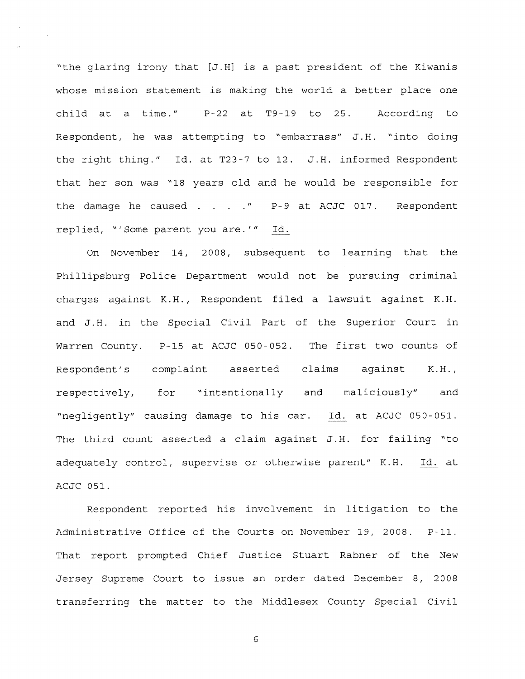'the glaring irony that [J.H] is <sup>a</sup> pas<sup>t</sup> president of the Kiwanis whose mission statement is making the world <sup>a</sup> better place one child at <sup>a</sup> time." P-22 at T9-l9 to 25. According to Respondent, he was attempting to 'embarrass" J.H. 'into doing the right thing." Id. at T23-7 to 12. J.H. informed Respondent that her son was '18 years old and he would be responsible for the damage he caused . . . . " P-9 at ACJC 017. Respondent replied, "'Some parent you are.'" Id.

On November 14, 2008, subsequent to learning that the Phillipsburg Police Department would not be pursuing criminal charges against K.H., Respondent filed <sup>a</sup> lawsuit against K.H. and J.H. in the Special Civil Part of the Superior Court in Warren County. P-l5 at ACJC 050-052. The first two counts of Respondent's complaint asserted claims against K.H., respectively, for 'intentionally and maliciously" and 'negligently" causing damage to his car. Id. at ACJC 050-051. The third count asserted <sup>a</sup> claim against J.H. for failing 'to adequately control, supervise or otherwise parent" K.H. Id. at ACJC 051.

Respondent reported his involvement in litigation to the Administrative Office of the Courts on November 19, 2008. P-ll. That repor<sup>t</sup> prompted Chief Justice Stuart Rabner of the New Jersey Supreme Court to issue an order dated December 8, 2008 transferring the matter to the Middlesex County Special Civil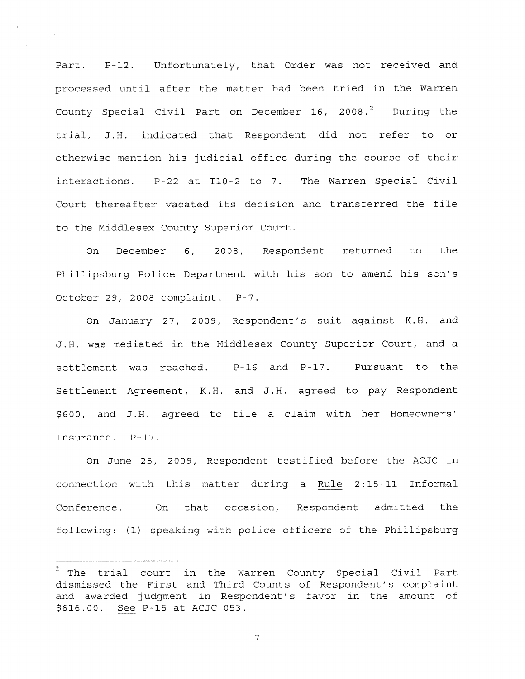Part. P-12. Unfortunately, that Order was not received and processed until after the matter had been tried in the Warren County Special Civil Part on December 16, 2008. $2$  During the trial, J.H. indicated that Respondent did not refer to or otherwise mention his judicial office during the course of their interactions. P-22 at Tl0-2 to 7. The Warren Special Civil Court thereafter vacated its decision and transferred the file to the Middlesex County Superior Court.

 $\sim 10^7$ 

On December 6, 2008, Respondent returned to the Phillipsburg Police Department with his son to amend his son's October 29, 2008 complaint. P-7.

On January 27, 2009, Respondent's suit against K.H. and J.H. was mediated in the Middlesex County Superior Court, and <sup>a</sup> settlement was reached. P-l6 and P-17. Pursuant to the Settlement Agreement, K.H. and J.H. agreed to pay Respondent \$600, and J.H. agreed to file <sup>a</sup> claim with her Homeowners' Insurance. P-17.

On June 25, 2009, Respondent testified before the ACJC in connection with this matter during <sup>a</sup> Rule 2:15-11 Informal Conference. On that occasion, Respondent admitted the following: (1) speaking with police officers of the Phillipsburg

 $2$  The trial court in the Warren County Special Civil Part dismissed the First and Third Counts of Respondent's complaint and awarded judgment in Respondent's favor in the amount of \$616.00. See P-l5 at ACJC 053.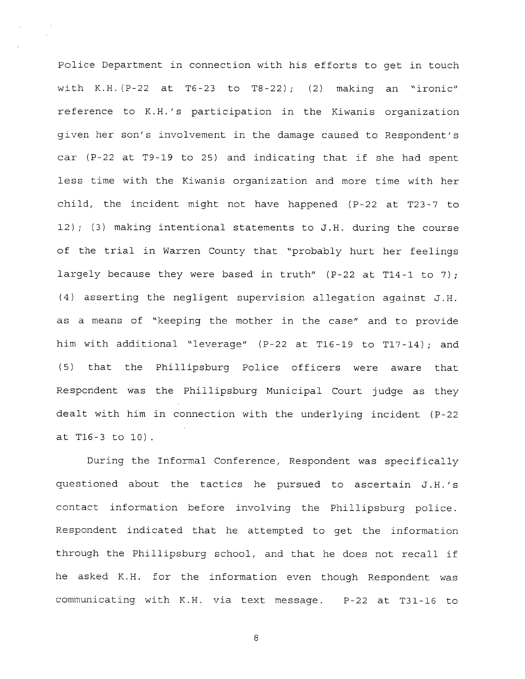Police Department in connection with his efforts to ge<sup>t</sup> in touch with K.H.  $(P-22$  at T6-23 to T8-22); (2) making an "ironic" reference to K.H.'s participation in the Kiwanis organization given her son's involvement in the damage caused to Respondent's car (P-22 at T9-19 to 25) and indicating that if she had spent less time with the Kiwanis organization and more time with her child, the incident might not have happened (P-22 at T23-7 to 12); (3) making intentional statements to J.H. during the course of the trial in Warren County that "probably hurt her feelings largely because they were based in truth"  $(P-22$  at T14-1 to 7); (4) asserting the negligent supervision allegation against J.H. as <sup>a</sup> means of "keeping the mother in the case" and to provide him with additional "leverage" (P-22 at T16-19 to T17—14); and (5) that the Phillipsburg Police officers were aware that Respondent was the Phillipsburg Municipal Court judge as they dealt with him in connection with the underlying incident (P-22 at T16-3 to 10)

During the Informal Conference, Respondent was specifically questioned about the tactics he pursued to ascertain J.H.'s contact information before involving the Phillipsburg police. Respondent indicated that he attempted to ge<sup>t</sup> the information through the Phillipsburg school, and that he does not recall if he asked K.H. for the information even though Respondent was communicating with K.H. via text message. P-22 at T31-l6 to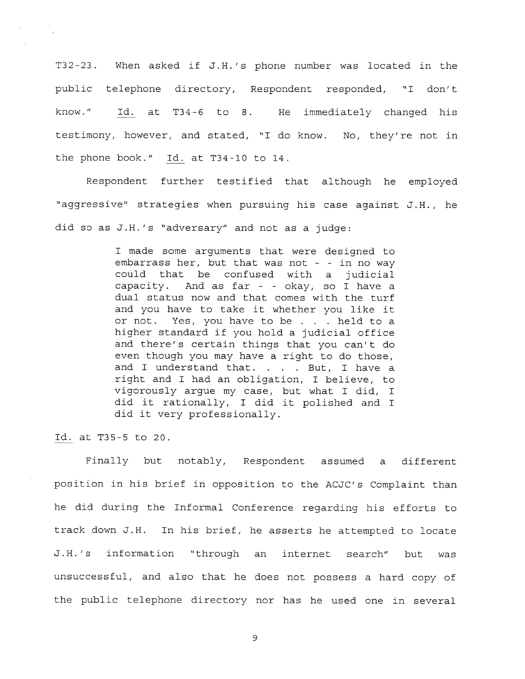T32-23. When asked if J.H.'s phone number was located in the public telephone directory, Respondent responded, "I don't know." Id. at T34-6 to 8. He immediately changed his testimony, however, and stated, "I do know. No, they're not in the phone book." Id. at T34-10 to 14.

Respondent further testified that although he employed "aggressive" strategies when pursuing his case against J.H., he did so as J.H.'s "adversary" and not as <sup>a</sup> judge:

> <sup>I</sup> made some arguments that were designed to embarrass her, but that was not - - in no way could that be confused with <sup>a</sup> judicial capacity. And as far - - okay, so <sup>I</sup> have <sup>a</sup> dual status now and that comes with the turf and you have to take it whether you like it or not. Yes, you have to be . . . held to <sup>a</sup> higher standard if you hold <sup>a</sup> judicial office and there's certain things that you can't do even though you may have <sup>a</sup> right to do those, and I understand that. . . . But, I have a right and <sup>I</sup> had an obligation, <sup>I</sup> believe, to vigorously argue my case, but what I did, I did it rationally, I did it polished and I did it very professionally.

Id. at T35-5 to 20.

Finally but notably, Respondent assumed <sup>a</sup> different position in his brief in opposition to the ACJC's Complaint than he did during the Informal Conference regarding his efforts to track down J.H. In his brief, he asserts he attempted to locate J.H.'s information "through an internet search" but was unsuccessful, and also that he does not possess <sup>a</sup> hard copy of the public telephone directory nor has he used one in several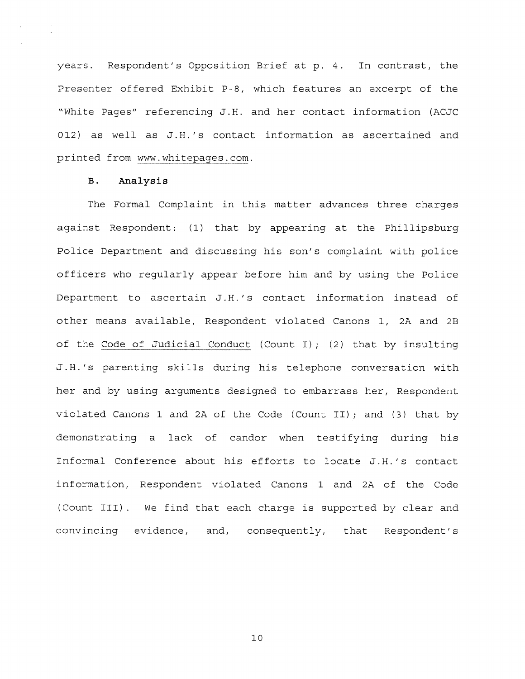years. Respondent's Opposition Brief at p. 4. In contrast, the Presenter offered Exhibit P-8, which features an excerp<sup>t</sup> of the "White Pages" referencing J.H. and her contact information (ACJC 012) as well as J.H.'s contact information as ascertained and printed from www.whitepages.com.

## B. Analysis

The Formal Complaint in this matter advances three charges against Respondent: (1) that by appearing at the Phillipsburg Police Department and discussing his son's complaint with police officers who regularly appear before him and by using the Police Department to ascertain J.H.'s contact information instead of other means available, Respondent violated Canons 1, 2A and 2B of the Code of Judicial Conduct (Count I); (2) that by insulting J.H.'s parenting skills during his telephone conversation with her and by using arguments designed to embarrass her, Respondent violated Canons <sup>1</sup> and 2A of the Code (Count II); and (3) that by demonstrating <sup>a</sup> lack of candor when testifying during his Informal Conference about his efforts to locate J.H.'s contact information, Respondent violated Canons 1 and 2A of the Code (Count III). We find that each charge is supported by clear and convincing evidence, and, consequently, that Respondent's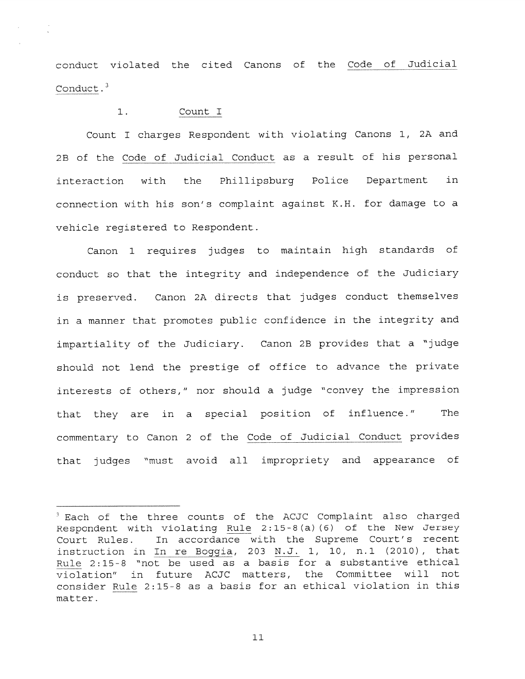conduct violated the cited Canons of the Code of Judicial Conduct.<sup>3</sup>

# 1. Count I

Count <sup>I</sup> charges Respondent with violating Canons 1, 2A and 2B of the Code of Judicial Conduct as <sup>a</sup> result of his personal interaction with the Phillipsburg Police Department in connection with his son's complaint against N.H. for damage to <sup>a</sup> vehicle registered to Respondent.

Canon <sup>1</sup> requires judges to maintain high standards of conduct so that the integrity and independence of the Judiciary is preserved. Canon 2A directs that judges conduct themselves in <sup>a</sup> manner that promotes public confidence in the integrity and impartiality of the Judiciary. Canon 2B provides that <sup>a</sup> "judge should not lend the prestige of office to advance the private interests of others," nor should <sup>a</sup> judge "convey the impression that they are in <sup>a</sup> special position of influence." The commentary to Canon <sup>2</sup> of the Code of Judicial Conduct provides that judges "must avoid all impropriety and appearance of

 $3$  Each of the three counts of the ACJC Complaint also charged Respondent with violating Rule 2:15-8(a) (6) of the New Jersey Court Rules. In accordance with the Supreme Court's recent instruction in In re Boggia, 203  $M.J.$  1, 10, n.1 (2010), that Rule 2:15-8 "not be used as <sup>a</sup> basis for <sup>a</sup> substantive ethical violation" in future ACJC matters, the Committee will not consider Rule 2:15-8 as <sup>a</sup> basis for an ethical violation in this matter.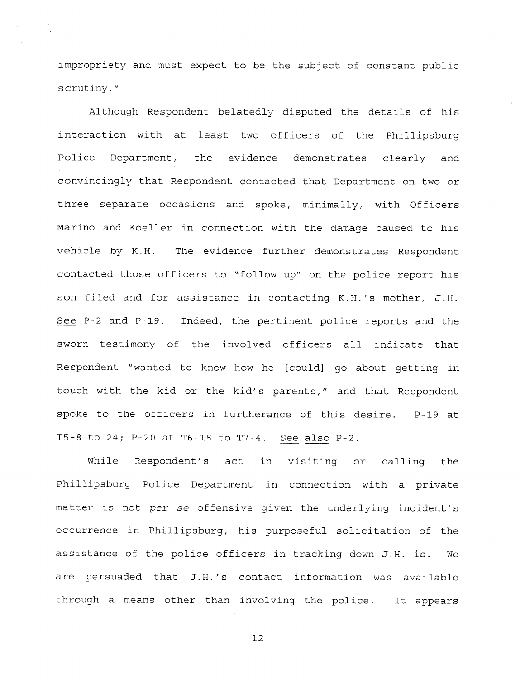impropriety and must expec<sup>t</sup> to be the subject of constant public scrutiny."

Although Respondent belatedly disputed the details of his interaction with at least two officers of the Phillipsburg Police Department, the evidence demonstrates clearly and convincingly that Respondent contacted that Department on two or three separate occasions and spoke, minimally, with Officers Marino and Koeller in connection with the damage caused to his vehicle by K.H. The evidence further demonstrates Respondent contacted those officers to "follow up" on the police repor<sup>t</sup> his son filed and for assistance in contacting K.H.'s mother, J.H. See P-2 and P-19. Indeed, the pertinent police reports and the sworn testimony of the involved officers all indicate that Respondent "wanted to know how he [could) go about getting in touch with the kid or the kid's parents," and that Respondent spoke to the officers in furtherance of this desire. P-l9 at T5-8 to 24; P-20 at T6-18 to T7-4. See also P-2.

While Respondent's act in visiting or calling the Phillipsburg Police Department in connection with <sup>a</sup> private matter is not per se offensive <sup>g</sup>iven the underlying incident's occurrence in Phillipsburg, his purposeful solicitation of the assistance of the police officers in tracking down J.H. is. We are persuaded that J.H.'s contact information was available through <sup>a</sup> means other than involving the police. It appears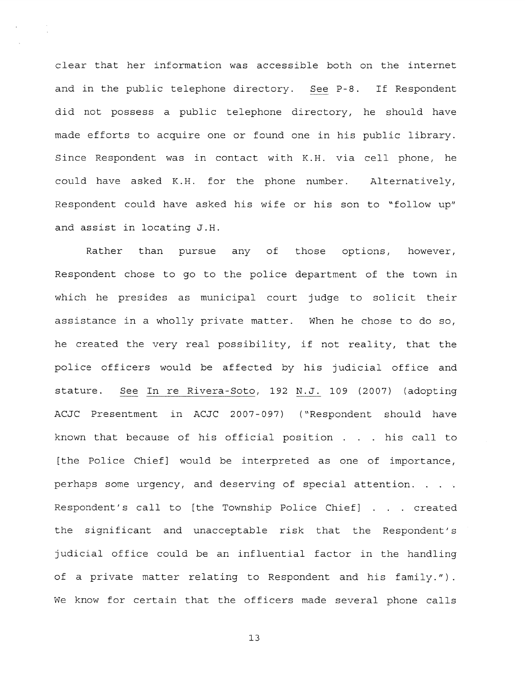clear that her information was accessible both on the internet and in the public telephone directory. See P-8. If Respondent did not possess <sup>a</sup> public telephone directory, he should have made efforts to acquire one or found one in his public library. Since Respondent was in contact with K.H. via cell phone, he could have asked K.H, for the phone number. Alternatively, Respondent could have asked his wife or his son to "follow up" and assist in locating J.H.

Rather than pursue any of those options, however, Respondent chose to go to the police department of the town in which he presides as municipal court judge to solicit their assistance in <sup>a</sup> wholly private matter. When he chose to do so, he created the very real possibility, if not reality, that the police officers would be affected by his judicial office and stature. See In re Rivera-Soto, 192 N.J. 109 (2007) (adopting ACJC Presentment in ACJC 2007-097) ("Respondent should have known that because of his official position . . . his call to [the Police Chief] would be interpreted as one of importance, perhaps some urgency, and deserving of special attention. . Respondent's call to [the Township Police Chief] . . . created the significant and unacceptable risk that the Respondent's judicial office could be an influential factor in the handling of <sup>a</sup> private matter relating to Respondent and his family."). We know for certain that the officers made several <sup>p</sup>hone calls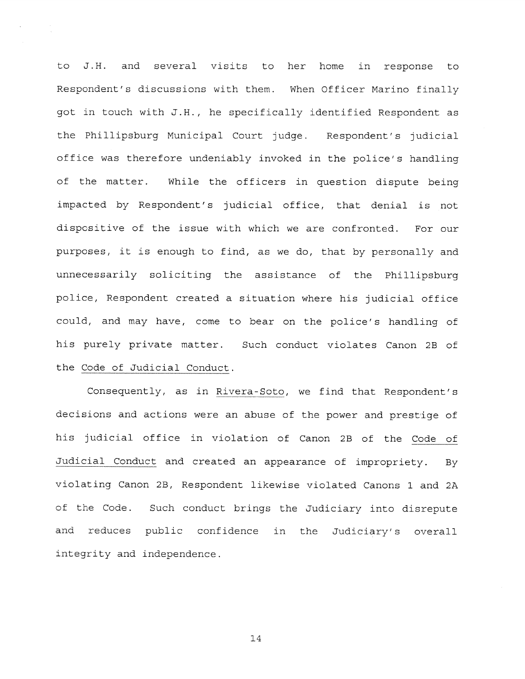to J.H. and several visits to her home in response to Respondent's discussions with them, When Officer Marino finally go<sup>t</sup> in touch with J.H., he specifically identified Respondent as the Phillipsburg Municipal Court judge. Respondent's judicial office was therefore undeniably invoked in the police's handling of the matter. While the officers in question dispute being impacted by Respondent's judicial office, that denial is not dispositive of the issue with which we are confronted. For our purposes, it is enoug<sup>h</sup> to find, as we do, that by personally and unnecessarily soliciting the assistance of the Phillipsburg police, Respondent created <sup>a</sup> situation where his judicial office could, and may have, come to bear on the police's handling of his purely private matter. Such conduct violates Canon 2B of the Code of Judicial Conduct.

Consequently, as in Rivera-Soto, we find that Respondent's decisions and actions were an abuse of the power and prestige of his judicial office in violation of Canon 23 of the Code of Judicial Conduct and created an appearance of impropriety. By violating Canon 2B, Respondent likewise violated Canons <sup>1</sup> and 2A of the Code. Such conduct brings the Judiciary into disrepute and reduces public confidence in the Judiciary's overall integrity and independence.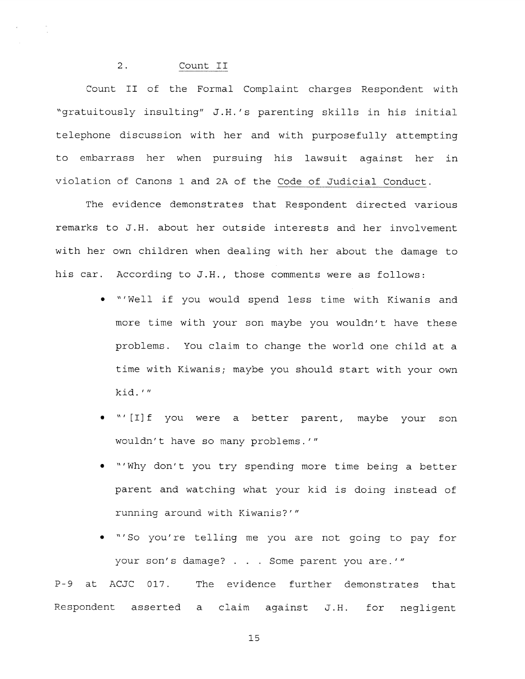## 2. Count II

Count II of the Formal Complaint charges Respondent with "gratuitously insulting" J.H.'s parenting skills in his initial telephone discussion with her and with purposefully attempting to embarrass her when pursuing his lawsuit against her in violation of Canons 1 and 2A of the Code of Judicial Conduct.

The evidence demonstrates that Respondent directed various remarks to J.H. about her outside interests and her involvement with her own children when dealing with her about the damage to his car. According to J.H., those comments were as follows:

- "Well if you would spend less time with Kiwanis and more time with your son maybe you wouldn't have these problems. You claim to change the world one child at <sup>a</sup> time with Kiwanis; maybe you should start with your own kid.
- "' [I]f you were <sup>a</sup> better parent, maybe your son wouldn't have so many problems.'"
- "'Why don't you try spending more time being <sup>a</sup> better paren<sup>t</sup> and watching what your kid is doing instead of running around with Kiwanis?'"
- "'So you're telling me you are not going to pay for your son's damage? . . . Some paren<sup>t</sup> you are.'"

P—9 at ACJC 017. The evidence further demonstrates that Respondent asserted <sup>a</sup> claim against J.H. for negligent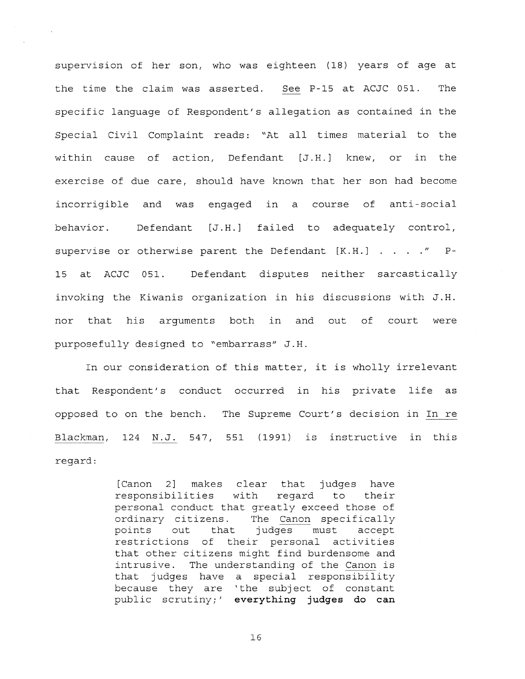supervision of her son, who was eighteen (18) years of age at the time the claim was asserted. See P-15 at ACJC 051. The specific language of Respondent's allegation as contained in the Special Civil Complaint reads: "At all times material to the within cause of action, Defendant [J.H.] knew, or in the exercise of due care, should have known that her son had become incorrigible and was engaged in <sup>a</sup> course of anti-social behavior. Defendant [J.H.) failed to adequately control, supervise or otherwise parent the Defendant  $[K.H.]$  . . . . " P-15 at ACJC 051. Defendant disputes neither sarcastically invoking the Kiwanis organization in his discussions with J.H. nor that his arguments both in and out of court were purposefully designed to "embarrass" J.H.

In our consideration of this matter, it is wholly irrelevant that Respondent's conduct occurred in his private life as opposed to on the bench. The Supreme Court's decision in In re Blackman, 124 N.J. 547, 551 (1991) is instructive in this regard:

> [Canon 2) makes clear that judges have responsibilities with regard to their personal conduct that greatly exceed those of ordinary citizens. The Canon specifically points out that judges must accep<sup>t</sup> restrictions of their personal activities that other citizens might find burdensome and intrusive. The understanding of the Canon is that judges have <sup>a</sup> special responsibility because they are 'the subject of constant public scrutiny;' everything judges do can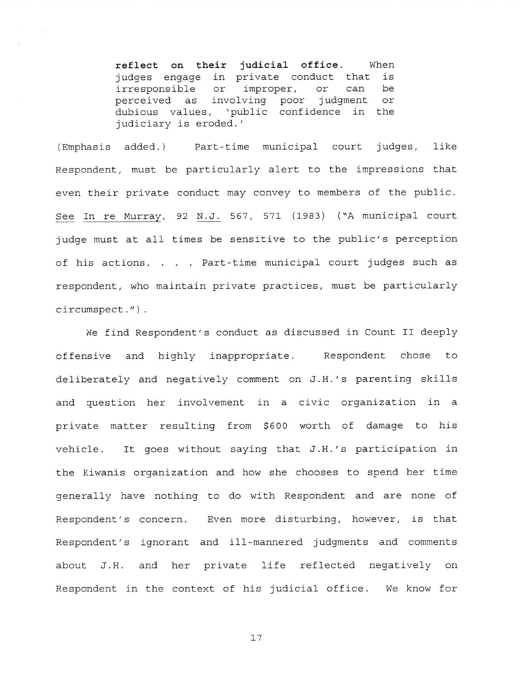reflect on their judicial office. When judges engage in private conduct that is irresponsible or improper, or can be perceived as involving poor judgment or dubious values, 'public confidence in the judiciary is eroded.'

(Emphasis added.> Part-time municipal court judges, like Respondent, must be particularly alert to the impressions that even their private conduct may convey to members of the public. See In re Murray, 92 N.J. 567, 571 (1983) ("A municipal court judge must at all times be sensitive to the public's perception of his actions. . . Part-time municipal court judges such as respondent, who maintain private practices, must be particularly circumspect.")

We find Respondent's conduct as discussed in Count II deeply offensive and highly inappropriate. Respondent chose to deliberately and negatively comment on J.H.'s parenting skills and question her involvement in <sup>a</sup> civic organization in <sup>a</sup> private matter resulting from \$600 worth of damage to his vehicle. It goes without saying that J.H.'s participation in the Kiwanis organization and how she chooses to spend her time generally have nothing to do with Respondent and are none of Respondent's concern. Even more disturbing, however, is that Respondent's ignorant and ill-mannered judgments and comments about J.H. and her private life reflected negatively on Respondent in the context of his judicial office. We know for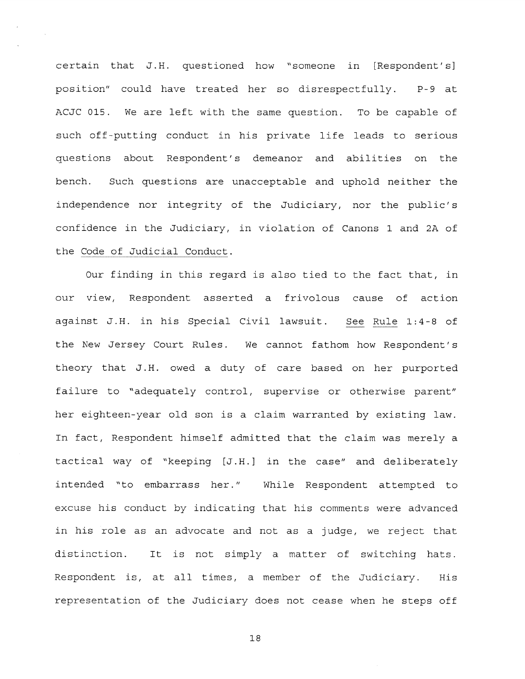certain that J.H. questioned how "someone in [Respondent's] position" could have treated her so disrespectfully. P-9 at ACJC 015. We are left with the same question. To be capable of such off-putting conduct in his private life leads to serious questions about Respondent's demeanor and abilities on the bench. Such questions are unacceptable and uphold neither the independence nor integrity of the Judiciary, nor the public's confidence in the Judiciary, in violation of Canons 1 and 2A of the Code of Judicial Conduct.

Our finding in this regard is also tied to the fact that, in our view, Respondent asserted <sup>a</sup> frivolous cause of action against J.H. in his Special Civil lawsuit. See Rule 1:4-8 of the New Jersey Court Rules. We cannot fathom how Respondent's theory that J.H. owed <sup>a</sup> duty of care based on her purported failure to "adequately control, supervise or otherwise parent" her eighteen-year old son is <sup>a</sup> claim warranted by existing law. In fact, Respondent himself admitted that the claim was merely <sup>a</sup> tactical way of "keeping [J.H.] in the case" and deliberately intended "to embarrass her." While Respondent attempted to excuse his conduct by indicating that his comments were advanced in his role as an advocate and not as <sup>a</sup> judge, we reject that distinction. It is not simply <sup>a</sup> matter of switching hats. Respondent is, at all times, <sup>a</sup> member of the Judiciary. His representation of the Judiciary does not cease when he steps off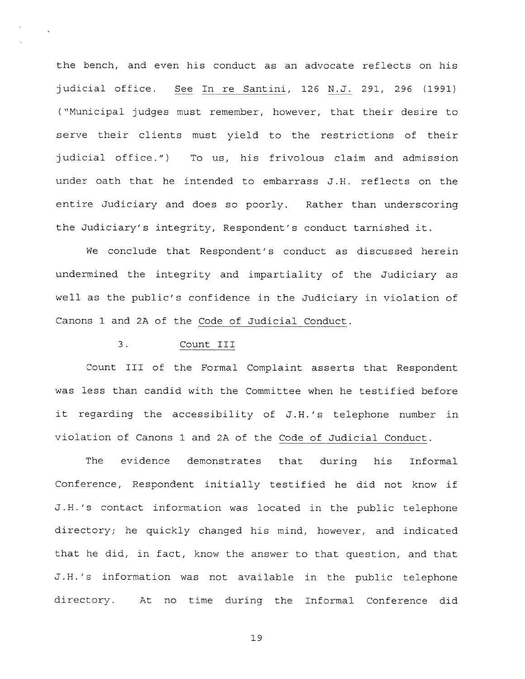the bench, and even his conduct as an advocate reflects on his judicial office. See In re Santini, 126 N.J. 291, 296 (1991) ("Municipal judges must remember, however, that their desire to serve their clients must yield to the restrictions of their judicial office.") To us, his frivolous claim and admission under oath that he intended to embarrass J.H. reflects on the entire Judiciary and does so poorly. Rather than underscoring the Judiciary's integrity, Respondent's conduct tarnished it.

We conclude that Respondent's conduct as discussed herein undermined the integrity and impartiality of the Judiciary as well as the public's confidence in the Judiciary in violation of Canons 1 and 2A of the Code of Judicial Conduct.

# 3. Count III

 $\mathcal{L}$ 

Count III of the Formal Complaint asserts that Respondent was less than candid with the Committee when he testified before it regarding the accessibility of J.H.'s telephone number in violation of Canons 1 and 2A of the Code of Judicial Conduct.

The evidence demonstrates that during his Informal Conference, Respondent initially testified he did not know if J.H.'s contact information was located in the public telephone directory; he quickly changed his mind, however, and indicated that he did, in fact, know the answer to that question, and that J.H.'s information was not available in the public telephone directory. At no time during the Informal Conference did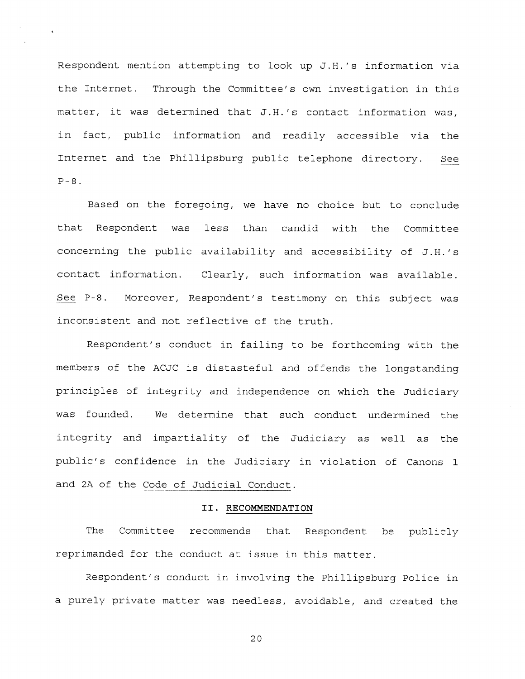Respondent mention attempting to look up J.H.'s information via the Internet. Through the Committee's own investigation in this matter, it was determined that J.H.'s contact information was, in fact, public information and readily accessible via the Internet and the Phillipsburg public telephone directory. See  $P-8$ .

i.<br>⊸

Based on the foregoing, we have no choice but to conclude that Respondent was less than candid with the Committee concerning the public availability and accessibility of J.H.'s contact information. Clearly, such information was available. See P-8. Moreover, Respondent's testimony on this subject was inconsistent and not reflective of the truth.

Respondent's conduct in failing to be forthcoming with the members of the ACJC is distasteful and offends the longstanding principles of integrity and independence on which the Judiciary was founded. We determine that such conduct undermined the integrity and impartiality of the Judiciary as well as the public's confidence in the Judiciary in violation of Canons <sup>1</sup> and 2A of the Code of Judicial Conduct.

### II. RECOMMENDATION

The Committee recommends that Respondent be publicly reprimanded for the conduct at issue in this matter.

Respondent's conduct in involving the Phillipsburg Police in <sup>a</sup> purely private matter was needless, avoidable, and created the